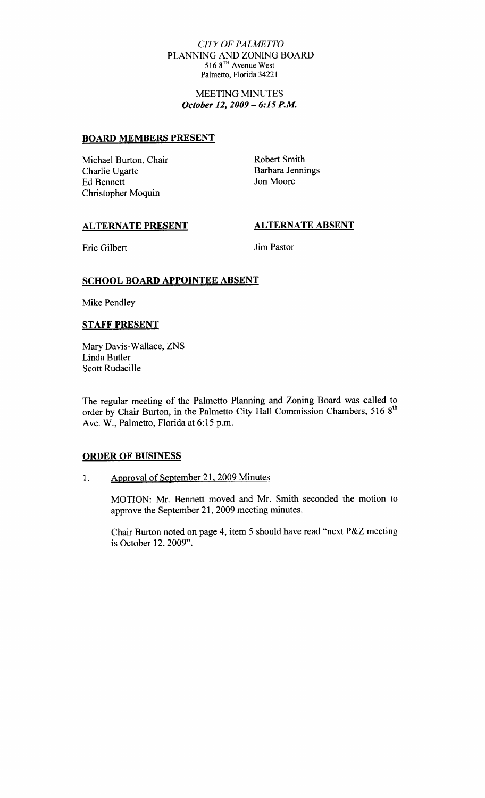### CITY OF PALMETTO PLANNINGAND ZONING BOARD 516 8TH Avenue West Palmetto, Florida 34221

MEETING MINUTES October 12, 2009 - 6:15 P.M.

### BOARD MEMBERS PRESENT

Michael Burton, Chair Charlie Ugarte Ed Bennett Christopher Moquin

Robert Smith Barbara Jennings Jon Moore

## ALTERNATE PRESENT

ALTERNATE ABSENT

Eric Gilbert

Jim Pastor

### SCHOOL BOARD APPOINTEE ABSENT

Mike Pendley

#### STAFF PRESENT

Mary Davis-Wallace, ZNS Linda Butler Scott Rudacille

The regular meeting of the Palmetto Planning and Zoning Board was called to order by Chair Burton, in the Palmetto City Hall Commission Chambers, 516 8<sup>th</sup> Ave. W., Palmetto, Florida at 6:15 p.m.

#### ORDER OF BUSINESS

Approval of September 21, 2009 Minutes  $1.$ 

> MOTION: Mr. Bennett moved and Mr. Smith seconded the motion to approve the September 21, 2009 meeting minutes.

> approve the September 21, 2009 meeting minutes.<br>Chair Burton noted on page 4, item 5 should have read "next P&Z meeting<br>in Ortakar 13, 2000" is October 12, 2009".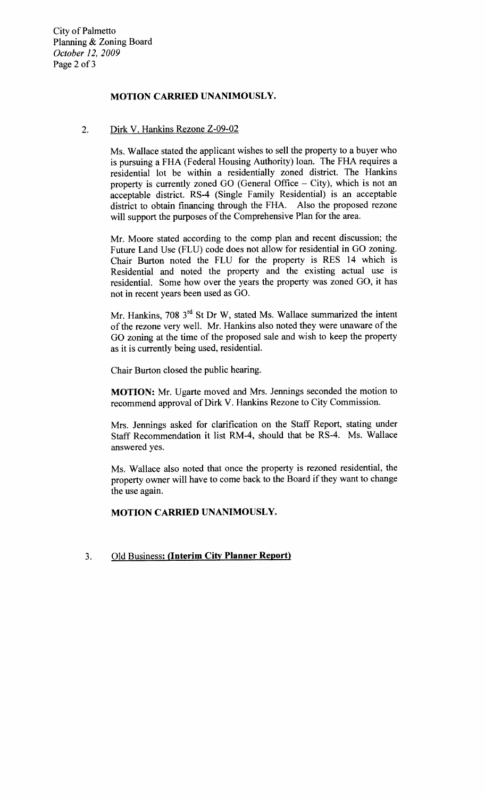City of Palmetto Planning & Zoning Board October 12, 2009 Page <sup>2</sup> of <sup>3</sup>

# MOTION CARRIED UNANIMOUSLY

# 2. Dirk V. Hankins Rezone Z-09-02

Ms. Wallace stated the applicant wishes to sell the property to a buyer who is pursuing a FHA (Federal Housing Authority) loan. The FHA requires a residential lot be within a residentially zoned district The Hankins property is currently zoned GO (General Office  $-$  City), which is not an acceptable district. RS-4 (Single Family Residential) is an acceptable district to obtain financing through the FHA. Also the proposed rezone will support the purposes of the Comprehensive Plan for the area.

Mr. Moore stated according to the comp plan and recent discussion; the Future Land Use (FLU) code does not allow for residential in GO zoning. Chair Burton noted the FLU for the property is RES <sup>14</sup> which is Residential and noted the property and the existing actual use is residential. Some how over the years the property was zoned GO, it has not in recent years been used as GO

Mr. Hankins, 708  $3<sup>rd</sup>$  St Dr W, stated Ms. Wallace summarized the intent of the rezone very well. Mr. Hankins also noted they were unaware of the GO zoning at the time of the proposed sale and wish to keep the property as it is currently being used, residential.

Chair Burton closed the public hearing

MOTION: Mr. Ugarte moved and Mrs. Jennings seconded the motion to recommend approval of Dirk V. Hankins Rezone to City Commission.

Mrs. Jennings asked for clarification on the Staff Report, stating under STATINIAN APPERTURE APPERTURE APPERTURE APPERTURE MARKET Report, stating under<br>Staff Recommendation it list RM-4, should that be RS-4. Ms. Wallace<br>answered ves answered yes

Ms. Wallace also noted that once the property is rezoned residential, the property owner will have to come back to the Board if they want tochange the use again

MOTION CARRIED UNANIMOUSLY

# 3. Old Business: (Interim City Planner Report)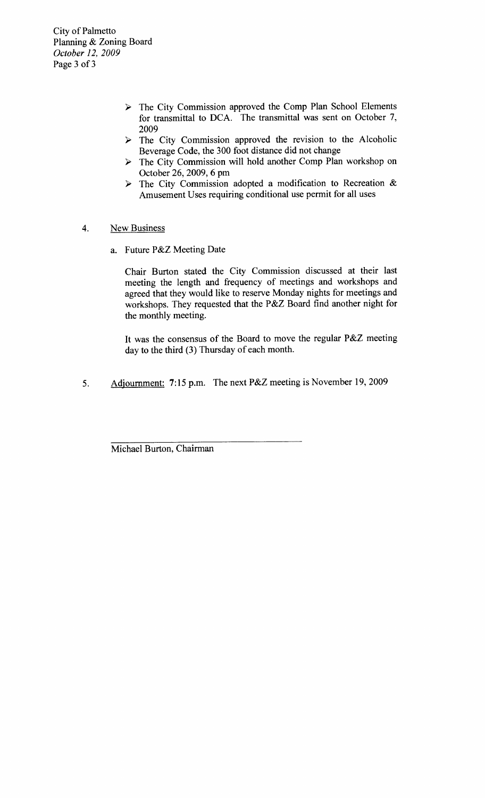City of Palmetto Planning & Zoning Board October 12, 2009 Page 3 of 3

- > The City Commission approved the Comp Plan School Elements for transmittal to DCA. The transmittal was sent on October 7, 2009
- $\triangleright$  The City Commission approved the revision to the Alcoholic Beverage Code, the 300 foot distance did not change
- The City Commission will hold another Comp Plan workshop on October 26 2009 6 pm
- $\triangleright$  The City Commission adopted a modification to Recreation & Amusement Uses requiring conditional use permit for all uses
- 4. New Business
	- a. Future P&Z Meeting Date

Chair Burton stated the City Commission discussed at their last meeting the length and frequency of meetings and workshops and agreed that they would like to reserve Monday nights for meetings and meeting the length and frequency of meetings and workshops and<br>agreed that they would like to reserve Monday nights for meetings and<br>workshops. They requested that the P&Z Board find another night for the monthly meeting

It was the consensus of the Board to move the regular P&Z meeting day to the third (3) Thursday of each month.

5. Adjournment: 7:15 p.m. The next P&Z meeting is November 19, 2009

Michael Burton, Chairman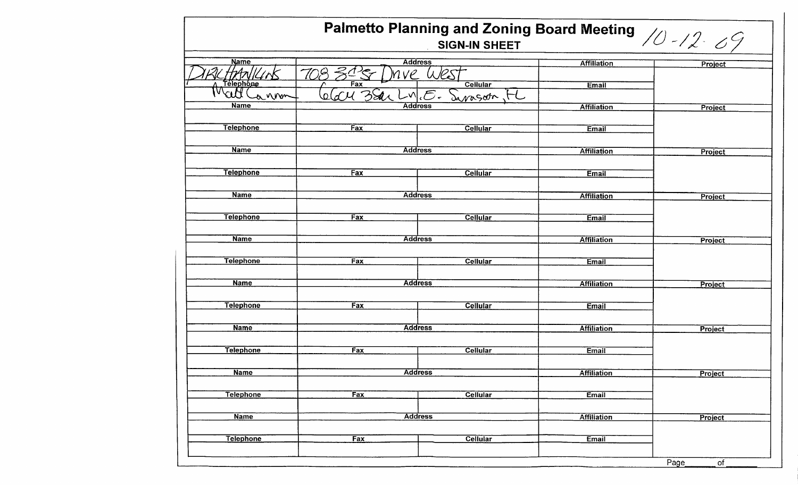| Palmetto Planning and Zoning Board Meeting $/2$ /2 $/2$ |                               |                 |                    |            |
|---------------------------------------------------------|-------------------------------|-----------------|--------------------|------------|
| <b>Name</b>                                             | <b>Address</b>                |                 | <b>Affiliation</b> |            |
| tArv                                                    | ve                            |                 |                    | Project    |
| Telephone                                               | Fax                           | <b>Cellular</b> | <b>Email</b>       |            |
| Watt<br>annon                                           | BSar<br>oldU<br>Danagota      |                 |                    |            |
| <b>Name</b>                                             | <b>Address</b>                |                 | <b>Affiliation</b> | Project    |
|                                                         |                               |                 |                    |            |
| <b>Telephone</b>                                        | Fax                           | Cellular        | Email              |            |
|                                                         |                               |                 |                    |            |
| <b>Name</b>                                             | <b>Address</b>                |                 | <b>Affiliation</b> | Project    |
|                                                         |                               |                 |                    |            |
| <b>Telephone</b>                                        | Fax                           | <b>Cellular</b> | <b>Email</b>       |            |
|                                                         |                               |                 |                    |            |
| <b>Name</b>                                             | <b>Address</b>                |                 | <b>Affiliation</b> | Project    |
|                                                         |                               |                 |                    |            |
| <b>Telephone</b>                                        | Fax                           | <b>Cellular</b> | Email              |            |
|                                                         |                               |                 |                    |            |
|                                                         | <b>Name</b><br><b>Address</b> |                 | <b>Affiliation</b> | Project    |
|                                                         |                               |                 |                    |            |
| <b>Telephone</b>                                        | Fax                           | <b>Cellular</b> | Email              |            |
|                                                         |                               |                 |                    |            |
| <b>Name</b>                                             | <b>Address</b>                |                 | <b>Affiliation</b> | Project    |
|                                                         |                               |                 |                    |            |
| <b>Telephone</b>                                        | Fax                           | <b>Cellular</b> | Email              |            |
|                                                         |                               |                 |                    |            |
| <b>Name</b>                                             | <b>Address</b>                |                 | <b>Affiliation</b> | Project    |
|                                                         |                               |                 |                    |            |
| <b>Telephone</b>                                        | Fax                           | <b>Cellular</b> | Email              |            |
|                                                         |                               |                 |                    |            |
| <b>Name</b>                                             |                               |                 | <b>Affiliation</b> |            |
|                                                         | <b>Address</b>                |                 |                    | Project    |
| <b>Telephone</b>                                        | Fax                           |                 |                    |            |
|                                                         |                               | <b>Cellular</b> | <b>Email</b>       |            |
| <b>Name</b>                                             |                               |                 |                    |            |
|                                                         | <b>Address</b>                |                 | <b>Affiliation</b> | Project    |
|                                                         |                               |                 |                    |            |
| <b>Telephone</b>                                        | Fax                           | Cellular        | Email              |            |
|                                                         |                               |                 |                    |            |
|                                                         |                               |                 |                    | Page<br>of |